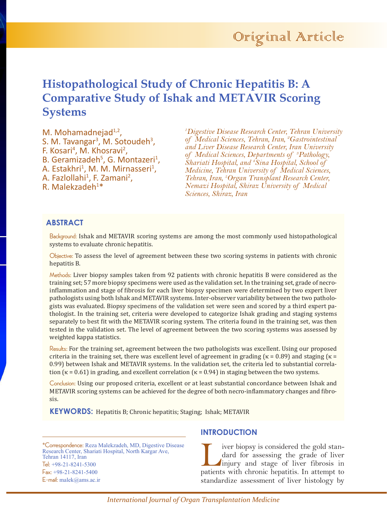# **Histopathological Study of Chronic Hepatitis B: A Comparative Study of Ishak and METAVIR Scoring Systems**

M. Mohamadnejad $1,2$ , S. M. Tavangar<sup>3</sup>, M. Sotoudeh<sup>3</sup>, F. Kosari<sup>4</sup>, M. Khosravi<sup>2</sup>, B. Geramizadeh<sup>5</sup>, G. Montazeri<sup>1</sup>, A. Estakhri<sup>1</sup>, M. M. Mirnasseri<sup>1</sup>, A. Fazlollahi<sup>1</sup>, F. Zamani<sup>2</sup>, R. Malekzadeh<sup>1\*</sup>

*1 Digestive Disease Research Center, Tehran University of Medical Sciences, Tehran, Iran, 2 Gastrointestinal and Liver Disease Research Center, Iran University of Medical Sciences, Departments of 3 Pathology, Shariati Hospital, and 4 Sina Hospital, School of Medicine, Tehran University of Medical Sciences, Tehran, Iran, 5 Organ Transplant Research Center, Nemazi Hospital, Shiraz University of Medical Sciences, Shiraz, Iran*

# **ABSTRACT**

Background: Ishak and METAVIR scoring systems are among the most commonly used histopathological systems to evaluate chronic hepatitis.

Objective: To assess the level of agreement between these two scoring systems in patients with chronic hepatitis B.

Methods: Liver biopsy samples taken from 92 patients with chronic hepatitis B were considered as the training set; 57 more biopsy specimens were used as the validation set. In the training set, grade of necroinflammation and stage of fibrosis for each liver biopsy specimen were determined by two expert liver pathologists using both Ishak and METAVIR systems. Inter-observer variability between the two pathologists was evaluated. Biopsy specimens of the validation set were seen and scored by a third expert pathologist. In the training set, criteria were developed to categorize Ishak grading and staging systems separately to best fit with the METAVIR scoring system. The criteria found in the training set, was then tested in the validation set. The level of agreement between the two scoring systems was assessed by weighted kappa statistics.

Results: For the training set, agreement between the two pathologists was excellent. Using our proposed criteria in the training set, there was excellent level of agreement in grading ( $\kappa$  = 0.89) and staging ( $\kappa$  = 0.99) between Ishak and METAVIR systems. In the validation set, the criteria led to substantial correlation ( $\kappa$  = 0.61) in grading, and excellent correlation ( $\kappa$  = 0.94) in staging between the two systems.

Conclusion: Using our proposed criteria, excellent or at least substantial concordance between Ishak and METAVIR scoring systems can be achieved for the degree of both necro-inflammatory changes and fibrosis.

**KEYWORDS:** Hepatitis B; Chronic hepatitis; Staging; Ishak; METAVIR

\*Correspondence: Reza Malekzadeh, MD, Digestive Disease Research Center, Shariati Hospital, North Kargar Ave, Tehran 14117, Iran Tel: +98-21-8241-5300 Fax: +98-21-8241-5400 E-mail: malek@ams.ac.ir

#### **INTRODUCTION**

I iver biopsy is considered the gold stan-<br>dard for assessing the grade of liver<br>injury and stage of liver fibrosis in<br>patients with chronic henatitis In attempt to dard for assessing the grade of liver injury and stage of liver fibrosis in patients with chronic hepatitis. In attempt to standardize assessment of liver histology by

*International Journal of Organ Transplantation Medicine*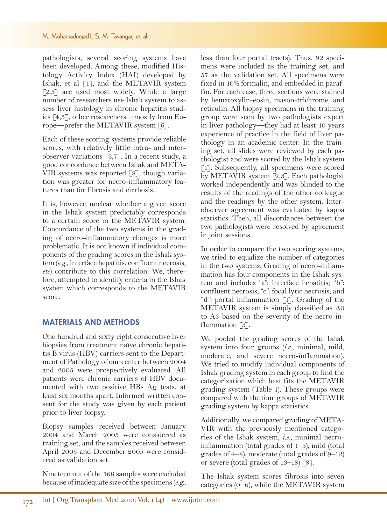pathologists, several scoring systems have been developed. Among these, modified Histology Activity Index (HAI) developed by Ishak, et al [1], and the METAVIR system [2,3] are used most widely. While a large number of researchers use Ishak system to assess liver histology in chronic hepatitis studies [4,5], other researchers—mostly from Europe—prefer the METAVIR system [6].

Each of these scoring systems provide reliable scores, with relatively little intra- and interobserver variations [3,7]. In a recent study, a good concordance between Ishak and META-VIR systems was reported [8], though variation was greater for necro-inflammatory features than for fibrosis and cirrhosis.

It is, however, unclear whether a given score in the Ishak system predictably corresponds to a certain score in the METAVIR system. Concordance of the two systems in the grading of necro-inflammatory changes is more problematic. It is not known if individual components of the grading scores in the Ishak system (*e.g.*, interface hepatitis, confluent necrosis, *etc*) contribute to this correlation. We, therefore, attempted to identify criteria in the Ishak system which corresponds to the METAVIR score.

## **MATERIALS AND METHODS**

One hundred and sixty eight consecutive liver biopsies from treatment naïve chronic hepatitis B virus (HBV) carriers sent to the Department of Pathology of our center between 2004 and 2005 were prospectively evaluated. All patients were chronic carriers of HBV documented with two positive HBs Ag tests, at least six months apart. Informed written consent for the study was given by each patient prior to liver biopsy.

Biopsy samples received between January 2004 and March 2005 were considered as training set, and the samples received between April 2005 and December 2005 were considered as validation set.

Nineteen out of the 168 samples were excluded because of inadequate size of the specimens (*e.g.*,

less than four portal tracts). Thus, 92 specimens were included as the training set, and 57 as the validation set. All specimens were fixed in 10% formalin, and embedded in paraffin. For each case, three sections were stained by hematoxylin-eosin, mason-trichrome, and reticulin. All biopsy specimens in the training group were seen by two pathologists expert in liver pathology—they had at least 10 years experience of practice in the field of liver pathology in an academic center. In the training set, all slides were reviewed by each pathologist and were scored by the Ishak system [1]. Subsequently, all specimens were scored by METAVIR system [2,3]. Each pathologist worked independently and was blinded to the results of the readings of the other colleague and the readings by the other system. Interobserver agreement was evaluated by kappa statistics. Then, all discordances between the two pathologists were resolved by agreement in joint sessions.

In order to compare the two scoring systems, we tried to equalize the number of categories in the two systems. Grading of necro-inflammation has four components in the Ishak system and includes "a": interface hepatitis; "b": confluent necrosis; "c": focal lytic necrosis; and "d": portal inflammation [1]. Grading of the METAVIR system is simply classified as A0 to A3 based on the severity of the necro-inflammation [3].

We pooled the grading scores of the Ishak system into four groups (*i.e.*, minimal, mild, moderate, and severe necro-inflammation). We tried to modify individual components of Ishak grading system in each group to find the categorization which best fits the METAVIR grading system (Table 1). These groups were compared with the four groups of METAVIR grading system by kappa statistics.

Additionally, we compared grading of META-VIR with the previously mentioned categories of the Ishak system, *i.e.*, minimal necroinflammation (total grades of 1–3), mild (total grades of 4–8), moderate (total grades of 9–12) or severe (total grades of 13–18) [8].

The Ishak system scores fibrosis into seven categories (0–6), while the METAVIR system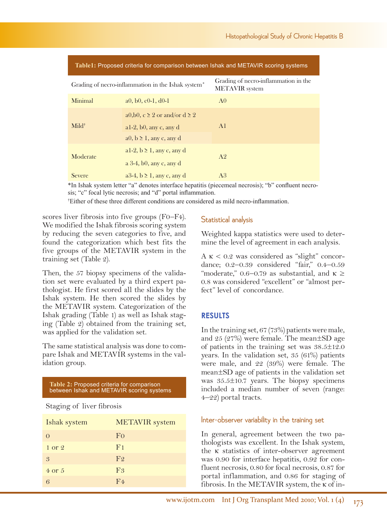| Table1: Proposed criteria for comparison between Ishak and METAVIR scoring systems |                                                                                                   |                                                               |  |  |
|------------------------------------------------------------------------------------|---------------------------------------------------------------------------------------------------|---------------------------------------------------------------|--|--|
| Grading of necro-inflammation in the Ishak system <sup>*</sup>                     |                                                                                                   | Grading of necro-inflammation in the<br><b>METAVIR</b> system |  |  |
| Minimal                                                                            | a0, b0, c0-1, $d0-1$                                                                              | A <sub>0</sub>                                                |  |  |
| $Mid^{\dagger}$                                                                    | a0,b0, $c \ge 2$ or and/or $d \ge 2$<br>al-2, $b0$ , any c, any d<br>$a0, b \ge 1$ , any c, any d | A <sub>1</sub>                                                |  |  |
| Moderate                                                                           | al-2, $b \ge 1$ , any c, any d<br>a $3-4$ , b0, any c, any d                                      | A <sup>2</sup>                                                |  |  |
| <b>Severe</b>                                                                      | $a3-4$ , $b \ge 1$ , any c, any d                                                                 | A <sup>3</sup>                                                |  |  |

\*In Ishak system letter "a" denotes interface hepatitis (piecemeal necrosis); "b" confluent necrosis; "c" focal lytic necrosis; and "d" portal inflammation.

† Either of these three different conditions are considered as mild necro-inflammation.

scores liver fibrosis into five groups (F0–F4). We modified the Ishak fibrosis scoring system by reducing the seven categories to five, and found the categorization which best fits the five groups of the METAVIR system in the training set (Table 2).

Then, the 57 biopsy specimens of the validation set were evaluated by a third expert pathologist. He first scored all the slides by the Ishak system. He then scored the slides by the METAVIR system. Categorization of the Ishak grading (Table 1) as well as Ishak staging (Table 2) obtained from the training set, was applied for the validation set.

The same statistical analysis was done to compare Ishak and METAVIR systems in the validation group.

**Table 2:** Proposed criteria for comparison between Ishak and METAVIR scoring systems

#### Staging of liver fibrosis

| Ishak system      | <b>METAVIR</b> system |
|-------------------|-----------------------|
| $\Omega$          | F <sub>0</sub>        |
| $1 \text{ or } 2$ | F <sub>1</sub>        |
| 3                 | F <sub>2</sub>        |
| $4 \text{ or } 5$ | F <sub>3</sub>        |
| 6                 | F <sub>4</sub>        |

## Statistical analysis

Weighted kappa statistics were used to determine the level of agreement in each analysis.

 $A \kappa < 0.2$  was considered as "slight" concordance; 0.2–0.39 considered "fair," 0.4–0.59 "moderate," 0.6–0.79 as substantial, and  $\kappa \geq$ 0.8 was considered "excellent" or "almost perfect" level of concordance.

## **RESULTS**

In the training set, 67 (73%) patients were male, and 25 (27%) were female. The mean±SD age of patients in the training set was  $38.5 \pm 12.0$ years. In the validation set, 35 (61%) patients were male, and 22 (39%) were female. The mean±SD age of patients in the validation set was 35.5±10.7 years. The biopsy specimens included a median number of seven (range: 4–22) portal tracts.

#### Inter-observer variability in the training set

In general, agreement between the two pathologists was excellent. In the Ishak system, the κ statistics of inter-observer agreement was 0.90 for interface hepatitis, 0.92 for confluent necrosis, 0.80 for focal necrosis, 0.87 for portal inflammation, and 0.86 for staging of fibrosis. In the METAVIR system, the κ of in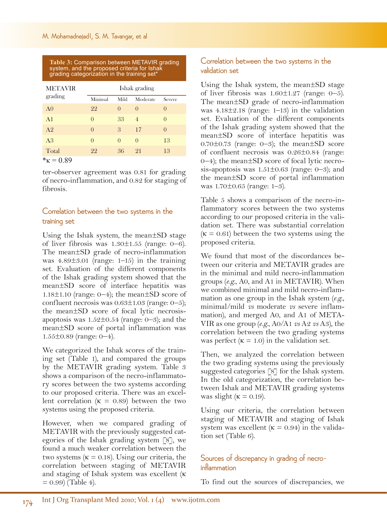**Table 3:** Comparison between METAVIR grading system, and the proposed criteria for Ishak grading categorization in the training set\*

| <b>METAVIR</b> | Ishak grading |                  |                  |                  |
|----------------|---------------|------------------|------------------|------------------|
| grading        | Minimal       | Mild             | Moderate         | Severe           |
| A <sub>0</sub> | 22            | $\left( \right)$ | $\left($         | $\left( \right)$ |
| A <sub>1</sub> | $\Omega$      | 33               | $\overline{4}$   | $\left( \right)$ |
| A <sub>2</sub> | $\Omega$      | 3                | 17               | $\left( \right)$ |
| A <sub>3</sub> | $\Omega$      | $\left( \right)$ | $\left( \right)$ | 13               |
| Total          | 22            | 36               | 21               | 13               |

 $kappa = 0.89$ 

ter-observer agreement was 0.81 for grading of necro-inflammation, and 0.82 for staging of fibrosis.

# Correlation between the two systems in the training set

Using the Ishak system, the mean±SD stage of liver fibrosis was  $1.30 \pm 1.55$  (range: 0–6). The mean±SD grade of necro-inflammation was  $4.89\pm3.01$  (range: 1–15) in the training set. Evaluation of the different components of the Ishak grading system showed that the mean±SD score of interface hepatitis was 1.18 $\pm$ 1.10 (range: 0–4); the mean $\pm$ SD score of confluent necrosis was  $0.63 \pm 1.03$  (range:  $0-5$ ); the mean±SD score of focal lytic necrosisapoptosis was  $1.52 \pm 0.54$  (range: 0–3); and the mean±SD score of portal inflammation was 1.55±0.89 (range: 0–4).

We categorized the Ishak scores of the training set (Table 1), and compared the groups by the METAVIR grading system. Table 3 shows a comparison of the necro-inflammatory scores between the two systems according to our proposed criteria. There was an excellent correlation ( $\kappa = 0.89$ ) between the two systems using the proposed criteria.

However, when we compared grading of METAVIR with the previously suggested categories of the Ishak grading system [8], we found a much weaker correlation between the two systems ( $\kappa = 0.18$ ). Using our criteria, the correlation between staging of METAVIR and staging of Ishak system was excellent (κ  $= 0.99$  (Table 4).

# Correlation between the two systems in the validation set

Using the Ishak system, the mean±SD stage of liver fibrosis was  $1.60 \pm 1.27$  (range: 0–5). The mean±SD grade of necro-inflammation was  $4.18\pm2.18$  (range: 1-13) in the validation set. Evaluation of the different components of the Ishak grading system showed that the mean±SD score of interface hepatitis was  $0.70\pm0.73$  (range: 0–3); the mean $\pm SD$  score of confluent necrosis was 0.26±0.84 (range: 0–4); the mean±SD score of focal lytic necrosis-apoptosis was  $1.51 \pm 0.63$  (range: 0–3); and the mean±SD score of portal inflammation was 1.70±0.65 (range: 1–3).

Table 5 shows a comparison of the necro-inflammatory scores between the two systems according to our proposed criteria in the validation set. There was substantial correlation  $(K = 0.61)$  between the two systems using the proposed criteria.

We found that most of the discordances between our criteria and METAVIR grades are in the minimal and mild necro-inflammation groups (*e.g.*, A0, and A1 in METAVIR). When we combined minimal and mild necro-inflammation as one group in the Ishak system (*e.g.*, minimal/mild *vs* moderate *vs* severe inflammation), and merged A0, and A1 of META-VIR as one group (*e.g.*, A0/A1 *vs* A2 *vs* A3), the correlation between the two grading systems was perfect  $(K = 1.0)$  in the validation set.

Then, we analyzed the correlation between the two grading systems using the previously suggested categories [8] for the Ishak system. In the old categorization, the correlation between Ishak and METAVIR grading systems was slight ( $\kappa = 0.19$ ).

Using our criteria, the correlation between staging of METAVIR and staging of Ishak system was excellent  $(K = 0.94)$  in the validation set (Table 6).

# Sources of discrepancy in grading of necroinflammation

To find out the sources of discrepancies, we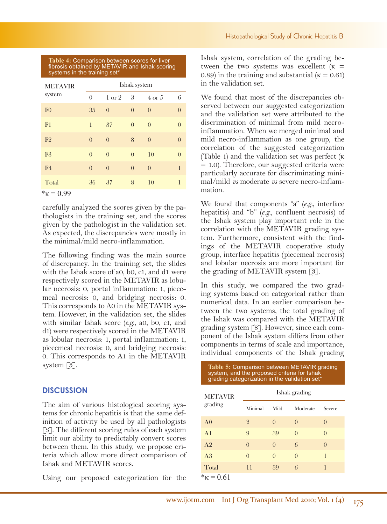#### **Table 4:** Comparison between scores for liver fibrosis obtained by METAVIR and Ishak scoring systems in the training set\*

| <b>METAVIR</b><br>system                    | Ishak system |                   |          |                   |          |
|---------------------------------------------|--------------|-------------------|----------|-------------------|----------|
|                                             | $\theta$     | $1 \text{ or } 2$ | 3        | $4 \text{ or } 5$ | 6        |
| F <sub>0</sub>                              | 35           | $\theta$          | $\theta$ | $\theta$          | $\theta$ |
| F <sub>1</sub>                              | 1            | 37                | $\theta$ | $\theta$          | $\theta$ |
| F2                                          | $\theta$     | $\theta$          | 8        | $\theta$          | $\theta$ |
| F <sub>3</sub>                              | $\theta$     | $\theta$          | $\theta$ | 10                | $\theta$ |
| F4                                          | $\theta$     | $\theta$          | $\theta$ | $\theta$          | 1        |
| Total<br>$\sim$<br>$\overline{\phantom{0}}$ | 36           | 37                | 8        | 10                | 1        |

 $*_{K} = 0.99$ 

carefully analyzed the scores given by the pathologists in the training set, and the scores given by the pathologist in the validation set. As expected, the discrepancies were mostly in the minimal/mild necro-inflammation.

The following finding was the main source of discrepancy. In the training set, the slides with the Ishak score of a0, b0, c1, and d1 were respectively scored in the METAVIR as lobular necrosis: 0, portal inflammation: 1, piecemeal necrosis: 0, and bridging necrosis: 0. This corresponds to A0 in the METAVIR system. However, in the validation set, the slides with similar Ishak score (*e.g.*, a0, b0, c1, and d1) were respectively scored in the METAVIR as lobular necrosis: 1, portal inflammation: 1, piecemeal necrosis: 0, and bridging necrosis: 0. This corresponds to A1 in the METAVIR system [3].

# **DISCUSSION**

The aim of various histological scoring systems for chronic hepatitis is that the same definition of activity be used by all pathologists [3]. The different scoring rules of each system limit our ability to predictably convert scores between them. In this study, we propose criteria which allow more direct comparison of Ishak and METAVIR scores.

Using our proposed categorization for the

Ishak system, correlation of the grading between the two systems was excellent  $(\kappa =$ 0.89) in the training and substantial ( $\kappa = 0.61$ ) in the validation set.

We found that most of the discrepancies observed between our suggested categorization and the validation set were attributed to the discrimination of minimal from mild necroinflammation. When we merged minimal and mild necro-inflammation as one group, the correlation of the suggested categorization (Table 1) and the validation set was perfect (κ = 1.0). Therefore, our suggested criteria were particularly accurate for discriminating minimal/mild *vs* moderate *vs* severe necro-inflammation.

We found that components "a" (*e.g.*, interface hepatitis) and "b" (*e.g.*, confluent necrosis) of the Ishak system play important role in the correlation with the METAVIR grading system. Furthermore, consistent with the findings of the METAVIR cooperative study group, interface hepatitis (piecemeal necrosis) and lobular necrosis are more important for the grading of METAVIR system [3].

In this study, we compared the two grading systems based on categorical rather than numerical data. In an earlier comparison between the two systems, the total grading of the Ishak was compared with the METAVIR grading system [8]. However, since each component of the Ishak system differs from other components in terms of scale and importance, individual components of the Ishak grading

**Table 5:** Comparison between METAVIR grading

| system, and the proposed criteria for Ishak<br>grading categorization in the validation set* |                  |          |                  |                  |  |
|----------------------------------------------------------------------------------------------|------------------|----------|------------------|------------------|--|
| <b>METAVIR</b>                                                                               | Ishak grading    |          |                  |                  |  |
| grading                                                                                      | Minimal          | Mild     | Moderate         | Severe           |  |
| A <sub>0</sub>                                                                               | 2                | $\Omega$ | $\left( \right)$ | $\left( \right)$ |  |
| A <sub>1</sub>                                                                               | 9                | 39       | $\Omega$         | $\Omega$         |  |
| A <sub>2</sub>                                                                               | $\left( \right)$ | $\Omega$ | 6                | $\Omega$         |  |
| A <sub>3</sub>                                                                               | $\Omega$         | $\Omega$ | $\Omega$         | 1                |  |
| Total                                                                                        | 11               | 39       | 6                | 1                |  |
| $kappa = 0.61$                                                                               |                  |          |                  |                  |  |